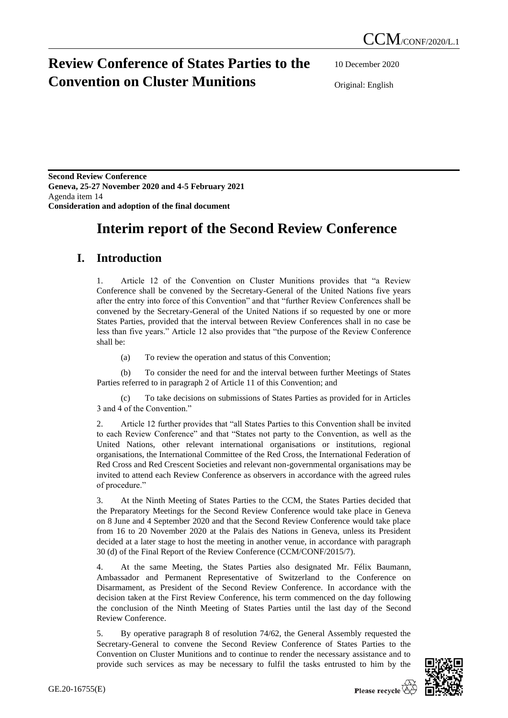## **Review Conference of States Parties to the Convention on Cluster Munitions**

10 December 2020

Original: English

**Second Review Conference Geneva, 25-27 November 2020 and 4-5 February 2021** Agenda item 14 **Consideration and adoption of the final document**

# **Interim report of the Second Review Conference**

### **I. Introduction**

1. Article 12 of the Convention on Cluster Munitions provides that "a Review Conference shall be convened by the Secretary-General of the United Nations five years after the entry into force of this Convention" and that "further Review Conferences shall be convened by the Secretary-General of the United Nations if so requested by one or more States Parties, provided that the interval between Review Conferences shall in no case be less than five years." Article 12 also provides that "the purpose of the Review Conference shall be:

(a) To review the operation and status of this Convention;

(b) To consider the need for and the interval between further Meetings of States Parties referred to in paragraph 2 of Article 11 of this Convention; and

(c) To take decisions on submissions of States Parties as provided for in Articles 3 and 4 of the Convention."

2. Article 12 further provides that "all States Parties to this Convention shall be invited to each Review Conference" and that "States not party to the Convention, as well as the United Nations, other relevant international organisations or institutions, regional organisations, the International Committee of the Red Cross, the International Federation of Red Cross and Red Crescent Societies and relevant non-governmental organisations may be invited to attend each Review Conference as observers in accordance with the agreed rules of procedure."

3. At the Ninth Meeting of States Parties to the CCM, the States Parties decided that the Preparatory Meetings for the Second Review Conference would take place in Geneva on 8 June and 4 September 2020 and that the Second Review Conference would take place from 16 to 20 November 2020 at the Palais des Nations in Geneva, unless its President decided at a later stage to host the meeting in another venue, in accordance with paragraph 30 (d) of the Final Report of the Review Conference (CCM/CONF/2015/7).

4. At the same Meeting, the States Parties also designated Mr. Félix Baumann, Ambassador and Permanent Representative of Switzerland to the Conference on Disarmament, as President of the Second Review Conference. In accordance with the decision taken at the First Review Conference, his term commenced on the day following the conclusion of the Ninth Meeting of States Parties until the last day of the Second Review Conference.

5. By operative paragraph 8 of resolution 74/62, the General Assembly requested the Secretary-General to convene the Second Review Conference of States Parties to the Convention on Cluster Munitions and to continue to render the necessary assistance and to provide such services as may be necessary to fulfil the tasks entrusted to him by the

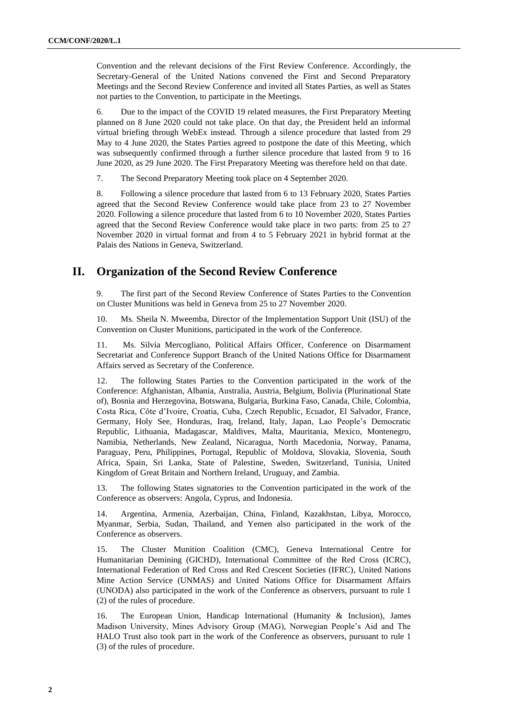Convention and the relevant decisions of the First Review Conference. Accordingly, the Secretary-General of the United Nations convened the First and Second Preparatory Meetings and the Second Review Conference and invited all States Parties, as well as States not parties to the Convention, to participate in the Meetings.

6. Due to the impact of the COVID 19 related measures, the First Preparatory Meeting planned on 8 June 2020 could not take place. On that day, the President held an informal virtual briefing through WebEx instead. Through a silence procedure that lasted from 29 May to 4 June 2020, the States Parties agreed to postpone the date of this Meeting, which was subsequently confirmed through a further silence procedure that lasted from 9 to 16 June 2020, as 29 June 2020. The First Preparatory Meeting was therefore held on that date.

7. The Second Preparatory Meeting took place on 4 September 2020.

8. Following a silence procedure that lasted from 6 to 13 February 2020, States Parties agreed that the Second Review Conference would take place from 23 to 27 November 2020. Following a silence procedure that lasted from 6 to 10 November 2020, States Parties agreed that the Second Review Conference would take place in two parts: from 25 to 27 November 2020 in virtual format and from 4 to 5 February 2021 in hybrid format at the Palais des Nations in Geneva, Switzerland.

#### **II. Organization of the Second Review Conference**

9. The first part of the Second Review Conference of States Parties to the Convention on Cluster Munitions was held in Geneva from 25 to 27 November 2020.

10. Ms. Sheila N. Mweemba, Director of the Implementation Support Unit (ISU) of the Convention on Cluster Munitions, participated in the work of the Conference.

11. Ms. Silvia Mercogliano, Political Affairs Officer, Conference on Disarmament Secretariat and Conference Support Branch of the United Nations Office for Disarmament Affairs served as Secretary of the Conference.

12. The following States Parties to the Convention participated in the work of the Conference: Afghanistan, Albania, Australia, Austria, Belgium, Bolivia (Plurinational State of), Bosnia and Herzegovina, Botswana, Bulgaria, Burkina Faso, Canada, Chile, Colombia, Costa Rica, Côte d'Ivoire, Croatia, Cuba, Czech Republic, Ecuador, El Salvador, France, Germany, Holy See, Honduras, Iraq, Ireland, Italy, Japan, Lao People's Democratic Republic, Lithuania, Madagascar, Maldives, Malta, Mauritania, Mexico, Montenegro, Namibia, Netherlands, New Zealand, Nicaragua, North Macedonia, Norway, Panama, Paraguay, Peru, Philippines, Portugal, Republic of Moldova, Slovakia, Slovenia, South Africa, Spain, Sri Lanka, State of Palestine, Sweden, Switzerland, Tunisia, United Kingdom of Great Britain and Northern Ireland, Uruguay, and Zambia.

13. The following States signatories to the Convention participated in the work of the Conference as observers: Angola, Cyprus, and Indonesia.

14. Argentina, Armenia, Azerbaijan, China, Finland, Kazakhstan, Libya, Morocco, Myanmar, Serbia, Sudan, Thailand, and Yemen also participated in the work of the Conference as observers.

15. The Cluster Munition Coalition (CMC), Geneva International Centre for Humanitarian Demining (GICHD), International Committee of the Red Cross (ICRC), International Federation of Red Cross and Red Crescent Societies (IFRC), United Nations Mine Action Service (UNMAS) and United Nations Office for Disarmament Affairs (UNODA) also participated in the work of the Conference as observers, pursuant to rule 1 (2) of the rules of procedure.

16. The European Union, Handicap International (Humanity & Inclusion), James Madison University, Mines Advisory Group (MAG), Norwegian People's Aid and The HALO Trust also took part in the work of the Conference as observers, pursuant to rule 1 (3) of the rules of procedure.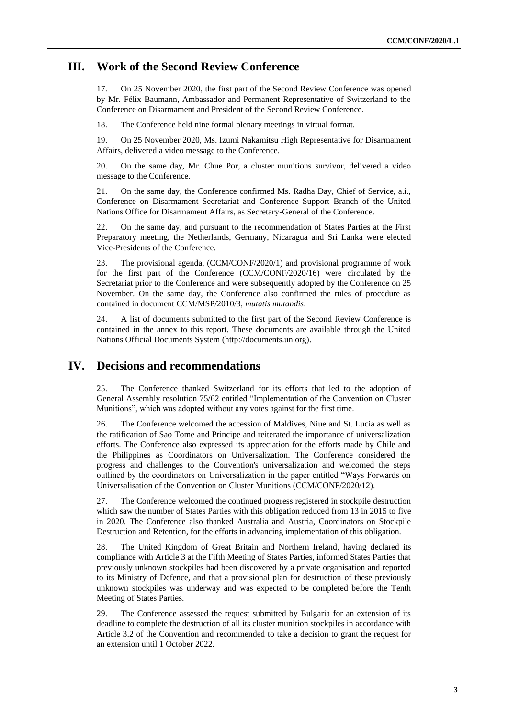#### **III. Work of the Second Review Conference**

17. On 25 November 2020, the first part of the Second Review Conference was opened by Mr. Félix Baumann, Ambassador and Permanent Representative of Switzerland to the Conference on Disarmament and President of the Second Review Conference.

18. The Conference held nine formal plenary meetings in virtual format.

19. On 25 November 2020, Ms. Izumi Nakamitsu High Representative for Disarmament Affairs, delivered a video message to the Conference.

20. On the same day, Mr. Chue Por, a cluster munitions survivor, delivered a video message to the Conference.

21. On the same day, the Conference confirmed Ms. Radha Day, Chief of Service, a.i., Conference on Disarmament Secretariat and Conference Support Branch of the United Nations Office for Disarmament Affairs, as Secretary-General of the Conference.

22. On the same day, and pursuant to the recommendation of States Parties at the First Preparatory meeting, the Netherlands, Germany, Nicaragua and Sri Lanka were elected Vice-Presidents of the Conference.

23. The provisional agenda, (CCM/CONF/2020/1) and provisional programme of work for the first part of the Conference (CCM/CONF/2020/16) were circulated by the Secretariat prior to the Conference and were subsequently adopted by the Conference on 25 November. On the same day, the Conference also confirmed the rules of procedure as contained in document CCM/MSP/2010/3, *mutatis mutandis*.

24. A list of documents submitted to the first part of the Second Review Conference is contained in the annex to this report. These documents are available through the United Nations Official Documents System (http://documents.un.org).

#### **IV. Decisions and recommendations**

25. The Conference thanked Switzerland for its efforts that led to the adoption of General Assembly resolution 75/62 entitled "Implementation of the Convention on Cluster Munitions", which was adopted without any votes against for the first time.

26. The Conference welcomed the accession of Maldives, Niue and St. Lucia as well as the ratification of Sao Tome and Principe and reiterated the importance of universalization efforts. The Conference also expressed its appreciation for the efforts made by Chile and the Philippines as Coordinators on Universalization. The Conference considered the progress and challenges to the Convention's universalization and welcomed the steps outlined by the coordinators on Universalization in the paper entitled "Ways Forwards on Universalisation of the Convention on Cluster Munitions (CCM/CONF/2020/12).

27. The Conference welcomed the continued progress registered in stockpile destruction which saw the number of States Parties with this obligation reduced from 13 in 2015 to five in 2020. The Conference also thanked Australia and Austria, Coordinators on Stockpile Destruction and Retention, for the efforts in advancing implementation of this obligation.

28. The United Kingdom of Great Britain and Northern Ireland, having declared its compliance with Article 3 at the Fifth Meeting of States Parties, informed States Parties that previously unknown stockpiles had been discovered by a private organisation and reported to its Ministry of Defence, and that a provisional plan for destruction of these previously unknown stockpiles was underway and was expected to be completed before the Tenth Meeting of States Parties.

29. The Conference assessed the request submitted by Bulgaria for an extension of its deadline to complete the destruction of all its cluster munition stockpiles in accordance with Article 3.2 of the Convention and recommended to take a decision to grant the request for an extension until 1 October 2022.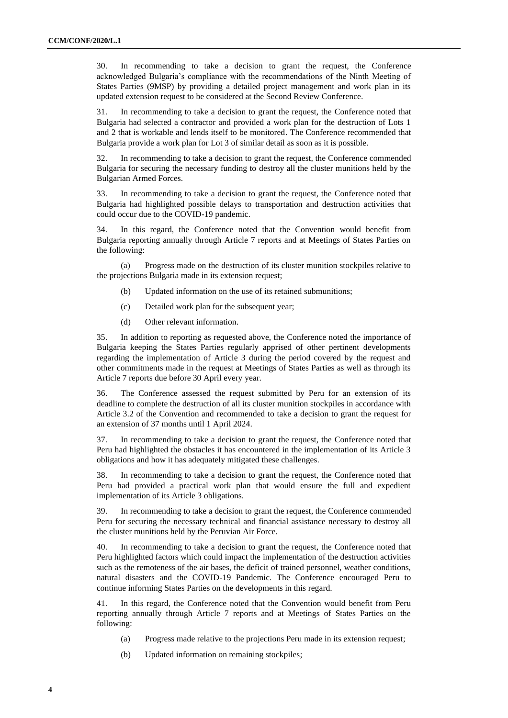30. In recommending to take a decision to grant the request, the Conference acknowledged Bulgaria's compliance with the recommendations of the Ninth Meeting of States Parties (9MSP) by providing a detailed project management and work plan in its updated extension request to be considered at the Second Review Conference.

31. In recommending to take a decision to grant the request, the Conference noted that Bulgaria had selected a contractor and provided a work plan for the destruction of Lots 1 and 2 that is workable and lends itself to be monitored. The Conference recommended that Bulgaria provide a work plan for Lot 3 of similar detail as soon as it is possible.

32. In recommending to take a decision to grant the request, the Conference commended Bulgaria for securing the necessary funding to destroy all the cluster munitions held by the Bulgarian Armed Forces.

33. In recommending to take a decision to grant the request, the Conference noted that Bulgaria had highlighted possible delays to transportation and destruction activities that could occur due to the COVID-19 pandemic.

34. In this regard, the Conference noted that the Convention would benefit from Bulgaria reporting annually through Article 7 reports and at Meetings of States Parties on the following:

(a) Progress made on the destruction of its cluster munition stockpiles relative to the projections Bulgaria made in its extension request;

- (b) Updated information on the use of its retained submunitions;
- (c) Detailed work plan for the subsequent year;
- (d) Other relevant information.

35. In addition to reporting as requested above, the Conference noted the importance of Bulgaria keeping the States Parties regularly apprised of other pertinent developments regarding the implementation of Article 3 during the period covered by the request and other commitments made in the request at Meetings of States Parties as well as through its Article 7 reports due before 30 April every year.

36. The Conference assessed the request submitted by Peru for an extension of its deadline to complete the destruction of all its cluster munition stockpiles in accordance with Article 3.2 of the Convention and recommended to take a decision to grant the request for an extension of 37 months until 1 April 2024.

37. In recommending to take a decision to grant the request, the Conference noted that Peru had highlighted the obstacles it has encountered in the implementation of its Article 3 obligations and how it has adequately mitigated these challenges.

38. In recommending to take a decision to grant the request, the Conference noted that Peru had provided a practical work plan that would ensure the full and expedient implementation of its Article 3 obligations.

39. In recommending to take a decision to grant the request, the Conference commended Peru for securing the necessary technical and financial assistance necessary to destroy all the cluster munitions held by the Peruvian Air Force.

40. In recommending to take a decision to grant the request, the Conference noted that Peru highlighted factors which could impact the implementation of the destruction activities such as the remoteness of the air bases, the deficit of trained personnel, weather conditions, natural disasters and the COVID-19 Pandemic. The Conference encouraged Peru to continue informing States Parties on the developments in this regard.

41. In this regard, the Conference noted that the Convention would benefit from Peru reporting annually through Article 7 reports and at Meetings of States Parties on the following:

- (a) Progress made relative to the projections Peru made in its extension request;
- (b) Updated information on remaining stockpiles;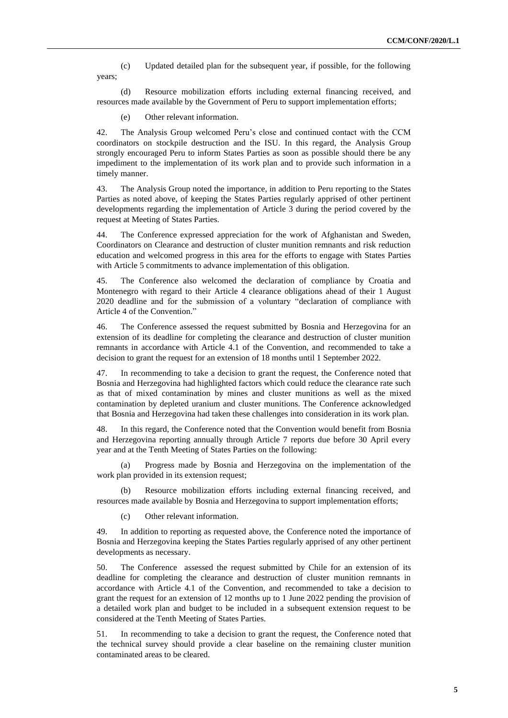(c) Updated detailed plan for the subsequent year, if possible, for the following years;

(d) Resource mobilization efforts including external financing received, and resources made available by the Government of Peru to support implementation efforts;

(e) Other relevant information.

42. The Analysis Group welcomed Peru's close and continued contact with the CCM coordinators on stockpile destruction and the ISU. In this regard, the Analysis Group strongly encouraged Peru to inform States Parties as soon as possible should there be any impediment to the implementation of its work plan and to provide such information in a timely manner.

43. The Analysis Group noted the importance, in addition to Peru reporting to the States Parties as noted above, of keeping the States Parties regularly apprised of other pertinent developments regarding the implementation of Article 3 during the period covered by the request at Meeting of States Parties.

44. The Conference expressed appreciation for the work of Afghanistan and Sweden, Coordinators on Clearance and destruction of cluster munition remnants and risk reduction education and welcomed progress in this area for the efforts to engage with States Parties with Article 5 commitments to advance implementation of this obligation.

45. The Conference also welcomed the declaration of compliance by Croatia and Montenegro with regard to their Article 4 clearance obligations ahead of their 1 August 2020 deadline and for the submission of a voluntary "declaration of compliance with Article 4 of the Convention."

46. The Conference assessed the request submitted by Bosnia and Herzegovina for an extension of its deadline for completing the clearance and destruction of cluster munition remnants in accordance with Article 4.1 of the Convention, and recommended to take a decision to grant the request for an extension of 18 months until 1 September 2022.

47. In recommending to take a decision to grant the request, the Conference noted that Bosnia and Herzegovina had highlighted factors which could reduce the clearance rate such as that of mixed contamination by mines and cluster munitions as well as the mixed contamination by depleted uranium and cluster munitions. The Conference acknowledged that Bosnia and Herzegovina had taken these challenges into consideration in its work plan.

48. In this regard, the Conference noted that the Convention would benefit from Bosnia and Herzegovina reporting annually through Article 7 reports due before 30 April every year and at the Tenth Meeting of States Parties on the following:

(a) Progress made by Bosnia and Herzegovina on the implementation of the work plan provided in its extension request;

(b) Resource mobilization efforts including external financing received, and resources made available by Bosnia and Herzegovina to support implementation efforts;

(c) Other relevant information.

49. In addition to reporting as requested above, the Conference noted the importance of Bosnia and Herzegovina keeping the States Parties regularly apprised of any other pertinent developments as necessary.

50. The Conference assessed the request submitted by Chile for an extension of its deadline for completing the clearance and destruction of cluster munition remnants in accordance with Article 4.1 of the Convention, and recommended to take a decision to grant the request for an extension of 12 months up to 1 June 2022 pending the provision of a detailed work plan and budget to be included in a subsequent extension request to be considered at the Tenth Meeting of States Parties.

51. In recommending to take a decision to grant the request, the Conference noted that the technical survey should provide a clear baseline on the remaining cluster munition contaminated areas to be cleared.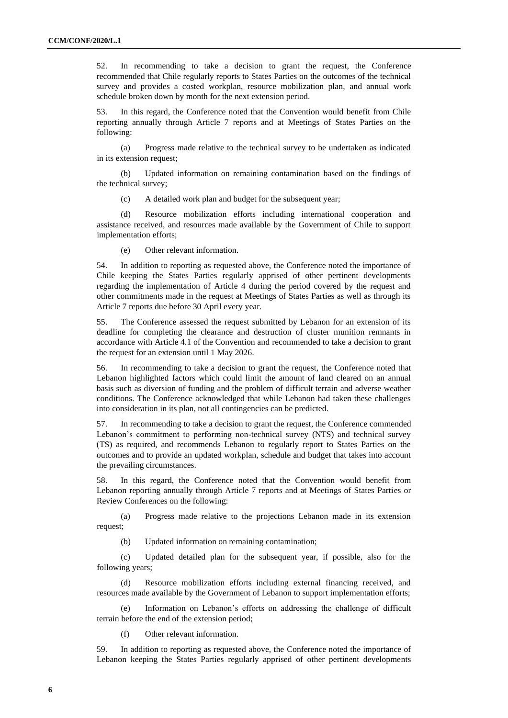52. In recommending to take a decision to grant the request, the Conference recommended that Chile regularly reports to States Parties on the outcomes of the technical survey and provides a costed workplan, resource mobilization plan, and annual work schedule broken down by month for the next extension period.

53. In this regard, the Conference noted that the Convention would benefit from Chile reporting annually through Article 7 reports and at Meetings of States Parties on the following:

(a) Progress made relative to the technical survey to be undertaken as indicated in its extension request;

(b) Updated information on remaining contamination based on the findings of the technical survey;

(c) A detailed work plan and budget for the subsequent year;

(d) Resource mobilization efforts including international cooperation and assistance received, and resources made available by the Government of Chile to support implementation efforts;

(e) Other relevant information.

54. In addition to reporting as requested above, the Conference noted the importance of Chile keeping the States Parties regularly apprised of other pertinent developments regarding the implementation of Article 4 during the period covered by the request and other commitments made in the request at Meetings of States Parties as well as through its Article 7 reports due before 30 April every year.

55. The Conference assessed the request submitted by Lebanon for an extension of its deadline for completing the clearance and destruction of cluster munition remnants in accordance with Article 4.1 of the Convention and recommended to take a decision to grant the request for an extension until 1 May 2026.

56. In recommending to take a decision to grant the request, the Conference noted that Lebanon highlighted factors which could limit the amount of land cleared on an annual basis such as diversion of funding and the problem of difficult terrain and adverse weather conditions. The Conference acknowledged that while Lebanon had taken these challenges into consideration in its plan, not all contingencies can be predicted.

57. In recommending to take a decision to grant the request, the Conference commended Lebanon's commitment to performing non-technical survey (NTS) and technical survey (TS) as required, and recommends Lebanon to regularly report to States Parties on the outcomes and to provide an updated workplan, schedule and budget that takes into account the prevailing circumstances.

58. In this regard, the Conference noted that the Convention would benefit from Lebanon reporting annually through Article 7 reports and at Meetings of States Parties or Review Conferences on the following:

(a) Progress made relative to the projections Lebanon made in its extension request;

(b) Updated information on remaining contamination;

(c) Updated detailed plan for the subsequent year, if possible, also for the following years;

(d) Resource mobilization efforts including external financing received, and resources made available by the Government of Lebanon to support implementation efforts;

(e) Information on Lebanon's efforts on addressing the challenge of difficult terrain before the end of the extension period;

(f) Other relevant information.

59. In addition to reporting as requested above, the Conference noted the importance of Lebanon keeping the States Parties regularly apprised of other pertinent developments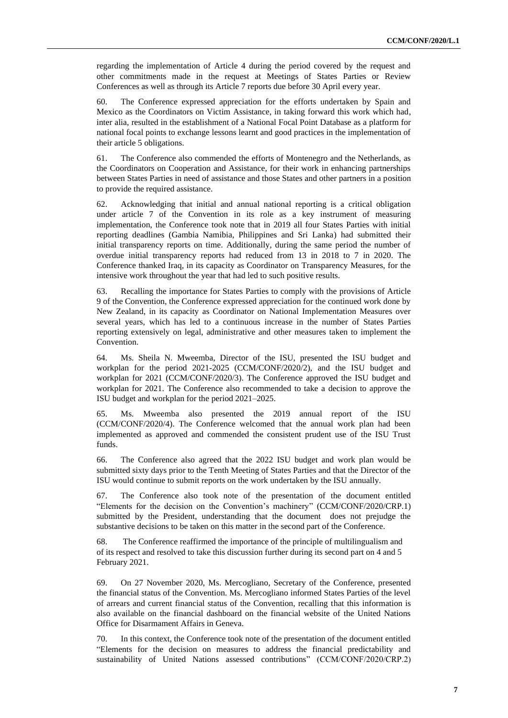regarding the implementation of Article 4 during the period covered by the request and other commitments made in the request at Meetings of States Parties or Review Conferences as well as through its Article 7 reports due before 30 April every year.

60. The Conference expressed appreciation for the efforts undertaken by Spain and Mexico as the Coordinators on Victim Assistance, in taking forward this work which had, inter alia, resulted in the establishment of a National Focal Point Database as a platform for national focal points to exchange lessons learnt and good practices in the implementation of their article 5 obligations.

61. The Conference also commended the efforts of Montenegro and the Netherlands, as the Coordinators on Cooperation and Assistance, for their work in enhancing partnerships between States Parties in need of assistance and those States and other partners in a position to provide the required assistance.

62. Acknowledging that initial and annual national reporting is a critical obligation under article 7 of the Convention in its role as a key instrument of measuring implementation, the Conference took note that in 2019 all four States Parties with initial reporting deadlines (Gambia Namibia, Philippines and Sri Lanka) had submitted their initial transparency reports on time. Additionally, during the same period the number of overdue initial transparency reports had reduced from 13 in 2018 to 7 in 2020. The Conference thanked Iraq, in its capacity as Coordinator on Transparency Measures, for the intensive work throughout the year that had led to such positive results.

63. Recalling the importance for States Parties to comply with the provisions of Article 9 of the Convention, the Conference expressed appreciation for the continued work done by New Zealand, in its capacity as Coordinator on National Implementation Measures over several years, which has led to a continuous increase in the number of States Parties reporting extensively on legal, administrative and other measures taken to implement the Convention.

64. Ms. Sheila N. Mweemba, Director of the ISU, presented the ISU budget and workplan for the period 2021-2025 (CCM/CONF/2020/2), and the ISU budget and workplan for 2021 (CCM/CONF/2020/3). The Conference approved the ISU budget and workplan for 2021. The Conference also recommended to take a decision to approve the ISU budget and workplan for the period 2021–2025.

65. Ms. Mweemba also presented the 2019 annual report of the ISU (CCM/CONF/2020/4). The Conference welcomed that the annual work plan had been implemented as approved and commended the consistent prudent use of the ISU Trust funds.

66. The Conference also agreed that the 2022 ISU budget and work plan would be submitted sixty days prior to the Tenth Meeting of States Parties and that the Director of the ISU would continue to submit reports on the work undertaken by the ISU annually.

67. The Conference also took note of the presentation of the document entitled "Elements for the decision on the Convention's machinery" (CCM/CONF/2020/CRP.1) submitted by the President, understanding that the document does not prejudge the substantive decisions to be taken on this matter in the second part of the Conference.

68. The Conference reaffirmed the importance of the principle of multilingualism and of its respect and resolved to take this discussion further during its second part on 4 and 5 February 2021.

69. On 27 November 2020, Ms. Mercogliano, Secretary of the Conference, presented the financial status of the Convention. Ms. Mercogliano informed States Parties of the level of arrears and current financial status of the Convention, recalling that this information is also available on the financial dashboard on the financial website of the United Nations Office for Disarmament Affairs in Geneva.

70. In this context, the Conference took note of the presentation of the document entitled "Elements for the decision on measures to address the financial predictability and sustainability of United Nations assessed contributions" (CCM/CONF/2020/CRP.2)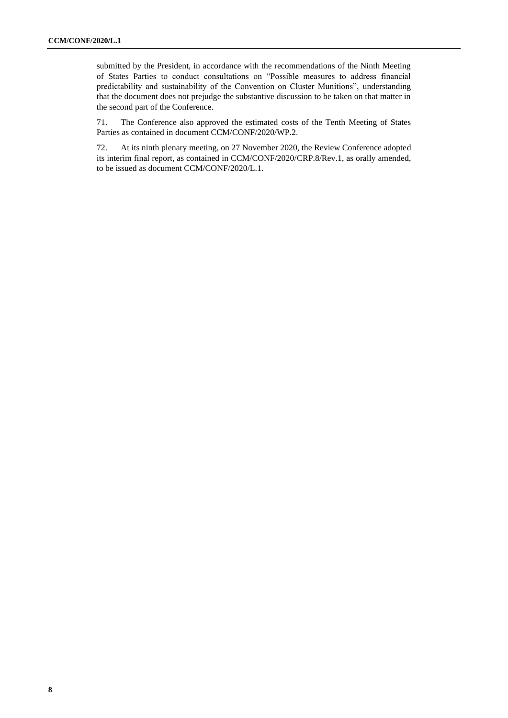submitted by the President, in accordance with the recommendations of the Ninth Meeting of States Parties to conduct consultations on "Possible measures to address financial predictability and sustainability of the Convention on Cluster Munitions", understanding that the document does not prejudge the substantive discussion to be taken on that matter in the second part of the Conference.

71. The Conference also approved the estimated costs of the Tenth Meeting of States Parties as contained in document CCM/CONF/2020/WP.2.

72. At its ninth plenary meeting, on 27 November 2020, the Review Conference adopted its interim final report, as contained in CCM/CONF/2020/CRP.8/Rev.1, as orally amended, to be issued as document CCM/CONF/2020/L.1.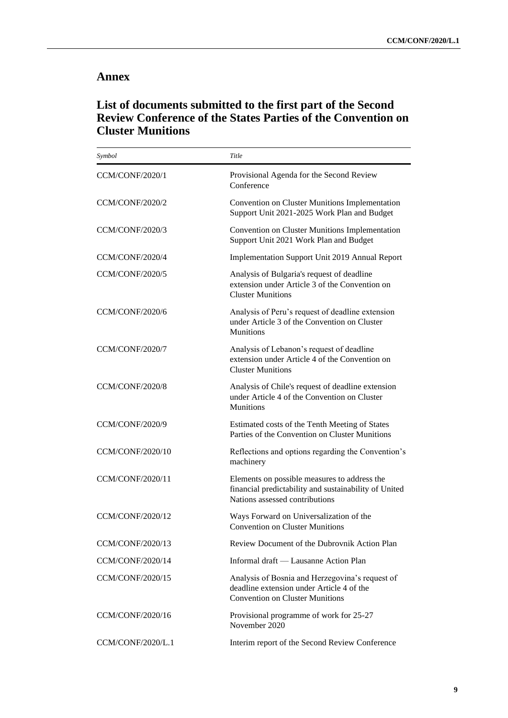#### **Annex**

### **List of documents submitted to the first part of the Second Review Conference of the States Parties of the Convention on Cluster Munitions**

| Symbol                  | Title                                                                                                                                   |
|-------------------------|-----------------------------------------------------------------------------------------------------------------------------------------|
| CCM/CONF/2020/1         | Provisional Agenda for the Second Review<br>Conference                                                                                  |
| <b>CCM/CONF/2020/2</b>  | Convention on Cluster Munitions Implementation<br>Support Unit 2021-2025 Work Plan and Budget                                           |
| CCM/CONF/2020/3         | Convention on Cluster Munitions Implementation<br>Support Unit 2021 Work Plan and Budget                                                |
| CCM/CONF/2020/4         | Implementation Support Unit 2019 Annual Report                                                                                          |
| CCM/CONF/2020/5         | Analysis of Bulgaria's request of deadline<br>extension under Article 3 of the Convention on<br><b>Cluster Munitions</b>                |
| CCM/CONF/2020/6         | Analysis of Peru's request of deadline extension<br>under Article 3 of the Convention on Cluster<br>Munitions                           |
| CCM/CONF/2020/7         | Analysis of Lebanon's request of deadline<br>extension under Article 4 of the Convention on<br><b>Cluster Munitions</b>                 |
| CCM/CONF/2020/8         | Analysis of Chile's request of deadline extension<br>under Article 4 of the Convention on Cluster<br><b>Munitions</b>                   |
| CCM/CONF/2020/9         | Estimated costs of the Tenth Meeting of States<br>Parties of the Convention on Cluster Munitions                                        |
| <b>CCM/CONF/2020/10</b> | Reflections and options regarding the Convention's<br>machinery                                                                         |
| <b>CCM/CONF/2020/11</b> | Elements on possible measures to address the<br>financial predictability and sustainability of United<br>Nations assessed contributions |
| <b>CCM/CONF/2020/12</b> | Ways Forward on Universalization of the<br><b>Convention on Cluster Munitions</b>                                                       |
| CCM/CONF/2020/13        | Review Document of the Dubrovnik Action Plan                                                                                            |
| <b>CCM/CONF/2020/14</b> | Informal draft — Lausanne Action Plan                                                                                                   |
| <b>CCM/CONF/2020/15</b> | Analysis of Bosnia and Herzegovina's request of<br>deadline extension under Article 4 of the<br><b>Convention on Cluster Munitions</b>  |
| <b>CCM/CONF/2020/16</b> | Provisional programme of work for 25-27<br>November 2020                                                                                |
| CCM/CONF/2020/L.1       | Interim report of the Second Review Conference                                                                                          |